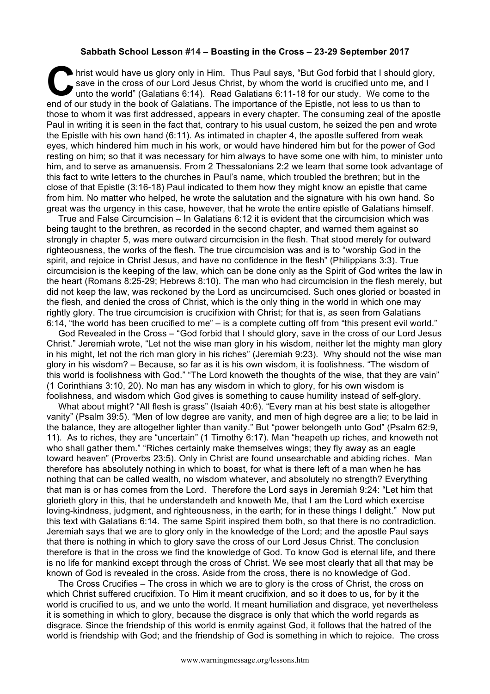## **Sabbath School Lesson #14 – Boasting in the Cross – 23-29 September 2017**

hrist would have us glory only in Him. Thus Paul says, "But God forbid that I should glory, save in the cross of our Lord Jesus Christ, by whom the world is crucified unto me, and I unto the world" (Galatians 6:14). Read G save in the cross of our Lord Jesus Christ, by whom the world is crucified unto me, and I unto the world" (Galatians 6:14). Read Galatians 6:11-18 for our study. We come to the end of our study in the book of Galatians. The importance of the Epistle, not less to us than to those to whom it was first addressed, appears in every chapter. The consuming zeal of the apostle Paul in writing it is seen in the fact that, contrary to his usual custom, he seized the pen and wrote the Epistle with his own hand (6:11). As intimated in chapter 4, the apostle suffered from weak eyes, which hindered him much in his work, or would have hindered him but for the power of God resting on him; so that it was necessary for him always to have some one with him, to minister unto him, and to serve as amanuensis. From 2 Thessalonians 2:2 we learn that some took advantage of this fact to write letters to the churches in Paul's name, which troubled the brethren; but in the close of that Epistle (3:16-18) Paul indicated to them how they might know an epistle that came from him. No matter who helped, he wrote the salutation and the signature with his own hand. So great was the urgency in this case, however, that he wrote the entire epistle of Galatians himself.

True and False Circumcision – In Galatians 6:12 it is evident that the circumcision which was being taught to the brethren, as recorded in the second chapter, and warned them against so strongly in chapter 5, was mere outward circumcision in the flesh. That stood merely for outward righteousness, the works of the flesh. The true circumcision was and is to "worship God in the spirit, and rejoice in Christ Jesus, and have no confidence in the flesh" (Philippians 3:3). True circumcision is the keeping of the law, which can be done only as the Spirit of God writes the law in the heart (Romans 8:25-29; Hebrews 8:10). The man who had circumcision in the flesh merely, but did not keep the law, was reckoned by the Lord as uncircumcised. Such ones gloried or boasted in the flesh, and denied the cross of Christ, which is the only thing in the world in which one may rightly glory. The true circumcision is crucifixion with Christ; for that is, as seen from Galatians 6:14, "the world has been crucified to me" – is a complete cutting off from "this present evil world."

God Revealed in the Cross – "God forbid that I should glory, save in the cross of our Lord Jesus Christ." Jeremiah wrote, "Let not the wise man glory in his wisdom, neither let the mighty man glory in his might, let not the rich man glory in his riches" (Jeremiah 9:23). Why should not the wise man glory in his wisdom? – Because, so far as it is his own wisdom, it is foolishness. "The wisdom of this world is foolishness with God." "The Lord knoweth the thoughts of the wise, that they are vain" (1 Corinthians 3:10, 20). No man has any wisdom in which to glory, for his own wisdom is foolishness, and wisdom which God gives is something to cause humility instead of self-glory.

What about might? "All flesh is grass" (Isaiah 40:6). "Every man at his best state is altogether vanity" (Psalm 39:5). "Men of low degree are vanity, and men of high degree are a lie; to be laid in the balance, they are altogether lighter than vanity." But "power belongeth unto God" (Psalm 62:9, 11). As to riches, they are "uncertain" (1 Timothy 6:17). Man "heapeth up riches, and knoweth not who shall gather them." "Riches certainly make themselves wings; they fly away as an eagle toward heaven" (Proverbs 23:5). Only in Christ are found unsearchable and abiding riches. Man therefore has absolutely nothing in which to boast, for what is there left of a man when he has nothing that can be called wealth, no wisdom whatever, and absolutely no strength? Everything that man is or has comes from the Lord. Therefore the Lord says in Jeremiah 9:24: "Let him that glorieth glory in this, that he understandeth and knoweth Me, that I am the Lord which exercise loving-kindness, judgment, and righteousness, in the earth; for in these things I delight." Now put this text with Galatians 6:14. The same Spirit inspired them both, so that there is no contradiction. Jeremiah says that we are to glory only in the knowledge of the Lord; and the apostle Paul says that there is nothing in which to glory save the cross of our Lord Jesus Christ. The conclusion therefore is that in the cross we find the knowledge of God. To know God is eternal life, and there is no life for mankind except through the cross of Christ. We see most clearly that all that may be known of God is revealed in the cross. Aside from the cross, there is no knowledge of God.

The Cross Crucifies – The cross in which we are to glory is the cross of Christ, the cross on which Christ suffered crucifixion. To Him it meant crucifixion, and so it does to us, for by it the world is crucified to us, and we unto the world. It meant humiliation and disgrace, yet nevertheless it is something in which to glory, because the disgrace is only that which the world regards as disgrace. Since the friendship of this world is enmity against God, it follows that the hatred of the world is friendship with God; and the friendship of God is something in which to rejoice. The cross